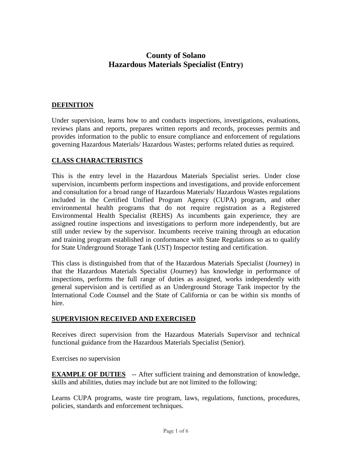# **County of Solano Hazardous Materials Specialist (Entry)**

#### **DEFINITION**

Under supervision, learns how to and conducts inspections, investigations, evaluations, reviews plans and reports, prepares written reports and records, processes permits and provides information to the public to ensure compliance and enforcement of regulations governing Hazardous Materials/ Hazardous Wastes; performs related duties as required.

### **CLASS CHARACTERISTICS**

This is the entry level in the Hazardous Materials Specialist series. Under close supervision, incumbents perform inspections and investigations, and provide enforcement and consultation for a broad range of Hazardous Materials/ Hazardous Wastes regulations included in the Certified Unified Program Agency (CUPA) program, and other environmental health programs that do not require registration as a Registered Environmental Health Specialist (REHS) As incumbents gain experience, they are assigned routine inspections and investigations to perform more independently, but are still under review by the supervisor. Incumbents receive training through an education and training program established in conformance with State Regulations so as to qualify for State Underground Storage Tank (UST) Inspector testing and certification.

This class is distinguished from that of the Hazardous Materials Specialist (Journey) in that the Hazardous Materials Specialist (Journey) has knowledge in performance of inspections, performs the full range of duties as assigned, works independently with general supervision and is certified as an Underground Storage Tank inspector by the International Code Counsel and the State of California or can be within six months of hire.

#### **SUPERVISION RECEIVED AND EXERCISED**

Receives direct supervision from the Hazardous Materials Supervisor and technical functional guidance from the Hazardous Materials Specialist (Senior).

Exercises no supervision

**EXAMPLE OF DUTIES** -- After sufficient training and demonstration of knowledge, skills and abilities, duties may include but are not limited to the following:

Learns CUPA programs, waste tire program, laws, regulations, functions, procedures, policies, standards and enforcement techniques.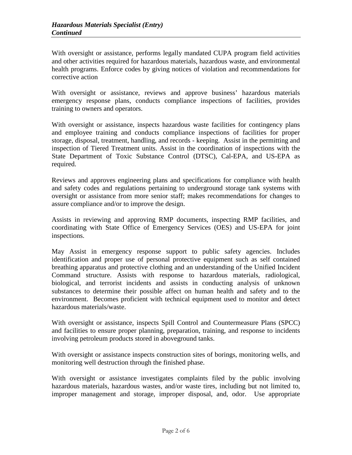With oversight or assistance, performs legally mandated CUPA program field activities and other activities required for hazardous materials, hazardous waste, and environmental health programs. Enforce codes by giving notices of violation and recommendations for corrective action

With oversight or assistance, reviews and approve business' hazardous materials emergency response plans, conducts compliance inspections of facilities, provides training to owners and operators.

With oversight or assistance, inspects hazardous waste facilities for contingency plans and employee training and conducts compliance inspections of facilities for proper storage, disposal, treatment, handling, and records - keeping. Assist in the permitting and inspection of Tiered Treatment units. Assist in the coordination of inspections with the State Department of Toxic Substance Control (DTSC), Cal-EPA, and US-EPA as required.

Reviews and approves engineering plans and specifications for compliance with health and safety codes and regulations pertaining to underground storage tank systems with oversight or assistance from more senior staff; makes recommendations for changes to assure compliance and/or to improve the design.

Assists in reviewing and approving RMP documents, inspecting RMP facilities, and coordinating with State Office of Emergency Services (OES) and US-EPA for joint inspections.

May Assist in emergency response support to public safety agencies. Includes identification and proper use of personal protective equipment such as self contained breathing apparatus and protective clothing and an understanding of the Unified Incident Command structure. Assists with response to hazardous materials, radiological, biological, and terrorist incidents and assists in conducting analysis of unknown substances to determine their possible affect on human health and safety and to the environment. Becomes proficient with technical equipment used to monitor and detect hazardous materials/waste.

With oversight or assistance, inspects Spill Control and Countermeasure Plans (SPCC) and facilities to ensure proper planning, preparation, training, and response to incidents involving petroleum products stored in aboveground tanks.

With oversight or assistance inspects construction sites of borings, monitoring wells, and monitoring well destruction through the finished phase.

With oversight or assistance investigates complaints filed by the public involving hazardous materials, hazardous wastes, and/or waste tires, including but not limited to, improper management and storage, improper disposal, and, odor. Use appropriate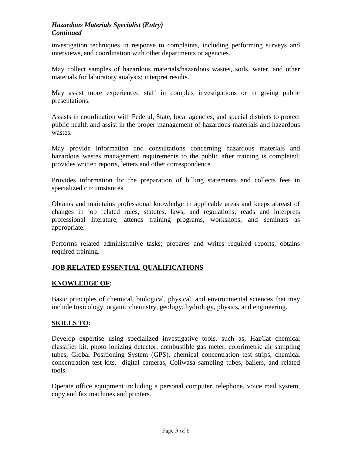investigation techniques in response to complaints, including performing surveys and interviews, and coordination with other departments or agencies.

May collect samples of hazardous materials/hazardous wastes, soils, water, and other materials for laboratory analysis; interpret results.

May assist more experienced staff in complex investigations or in giving public presentations.

Assists in coordination with Federal, State, local agencies, and special districts to protect public health and assist in the proper management of hazardous materials and hazardous wastes.

May provide information and consultations concerning hazardous materials and hazardous wastes management requirements to the public after training is completed; provides written reports, letters and other correspondence

Provides information for the preparation of billing statements and collects fees in specialized circumstances

Obtains and maintains professional knowledge in applicable areas and keeps abreast of changes in job related rules, statutes, laws, and regulations; reads and interprets professional literature, attends training programs, workshops, and seminars as appropriate.

Performs related administrative tasks; prepares and writes required reports; obtains required training.

# **JOB RELATED ESSENTIAL QUALIFICATIONS**

#### **KNOWLEDGE OF:**

Basic principles of chemical, biological, physical, and environmental sciences that may include toxicology, organic chemistry, geology, hydrology, physics, and engineering.

### **SKILLS TO:**

Develop expertise using specialized investigative tools, such as, HazCat chemical classifier kit, photo ionizing detector, combustible gas meter, colorimetric air sampling tubes, Global Positioning System (GPS), chemical concentration test strips, chemical concentration test kits, digital cameras, Coliwasa sampling tubes, bailers, and related tools.

Operate office equipment including a personal computer, telephone, voice mail system, copy and fax machines and printers.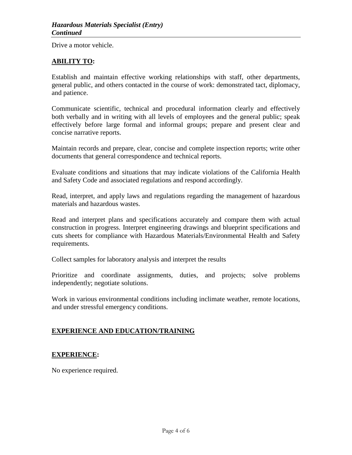Drive a motor vehicle.

### **ABILITY TO:**

Establish and maintain effective working relationships with staff, other departments, general public, and others contacted in the course of work: demonstrated tact, diplomacy, and patience.

Communicate scientific, technical and procedural information clearly and effectively both verbally and in writing with all levels of employees and the general public; speak effectively before large formal and informal groups; prepare and present clear and concise narrative reports.

Maintain records and prepare, clear, concise and complete inspection reports; write other documents that general correspondence and technical reports.

Evaluate conditions and situations that may indicate violations of the California Health and Safety Code and associated regulations and respond accordingly.

Read, interpret, and apply laws and regulations regarding the management of hazardous materials and hazardous wastes.

Read and interpret plans and specifications accurately and compare them with actual construction in progress. Interpret engineering drawings and blueprint specifications and cuts sheets for compliance with Hazardous Materials/Environmental Health and Safety requirements.

Collect samples for laboratory analysis and interpret the results

Prioritize and coordinate assignments, duties, and projects; solve problems independently; negotiate solutions.

Work in various environmental conditions including inclimate weather, remote locations, and under stressful emergency conditions.

### **EXPERIENCE AND EDUCATION/TRAINING**

#### **EXPERIENCE:**

No experience required.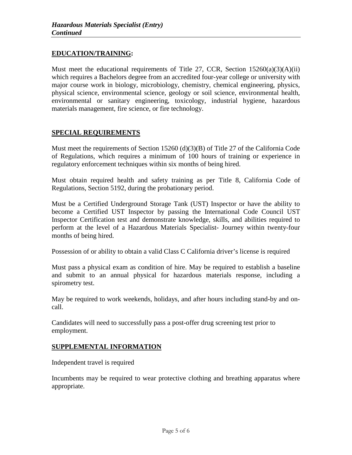### **EDUCATION/TRAINING:**

Must meet the educational requirements of Title 27, CCR, Section  $15260(a)(3)(A)(ii)$ which requires a Bachelors degree from an accredited four-year college or university with major course work in biology, microbiology, chemistry, chemical engineering, physics, physical science, environmental science, geology or soil science, environmental health, environmental or sanitary engineering, toxicology, industrial hygiene, hazardous materials management, fire science, or fire technology.

### **SPECIAL REQUIREMENTS**

Must meet the requirements of Section 15260 (d)(3)(B) of Title 27 of the California Code of Regulations, which requires a minimum of 100 hours of training or experience in regulatory enforcement techniques within six months of being hired.

Must obtain required health and safety training as per Title 8, California Code of Regulations, Section 5192, during the probationary period.

Must be a Certified Underground Storage Tank (UST) Inspector or have the ability to become a Certified UST Inspector by passing the International Code Council UST Inspector Certification test and demonstrate knowledge, skills, and abilities required to perform at the level of a Hazardous Materials Specialist- Journey within twenty-four months of being hired.

Possession of or ability to obtain a valid Class C California driver's license is required

Must pass a physical exam as condition of hire. May be required to establish a baseline and submit to an annual physical for hazardous materials response, including a spirometry test.

May be required to work weekends, holidays, and after hours including stand-by and oncall.

Candidates will need to successfully pass a post-offer drug screening test prior to employment.

### **SUPPLEMENTAL INFORMATION**

Independent travel is required

Incumbents may be required to wear protective clothing and breathing apparatus where appropriate.